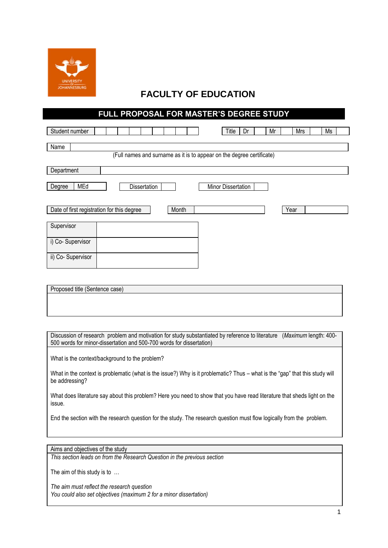

## **FACULTY OF EDUCATION**

## **FULL PROPOSAL FOR MASTER'S DEGREE STUDY**

| Student number                                                        |  |  |              |  |       |  |  | Title              | Dr | Mr | Mrs  | Ms |
|-----------------------------------------------------------------------|--|--|--------------|--|-------|--|--|--------------------|----|----|------|----|
| Name                                                                  |  |  |              |  |       |  |  |                    |    |    |      |    |
| (Full names and surname as it is to appear on the degree certificate) |  |  |              |  |       |  |  |                    |    |    |      |    |
| Department                                                            |  |  |              |  |       |  |  |                    |    |    |      |    |
|                                                                       |  |  |              |  |       |  |  |                    |    |    |      |    |
| MEd<br>Degree                                                         |  |  | Dissertation |  |       |  |  | Minor Dissertation |    |    |      |    |
|                                                                       |  |  |              |  |       |  |  |                    |    |    |      |    |
| Date of first registration for this degree                            |  |  |              |  | Month |  |  |                    |    |    | Year |    |
|                                                                       |  |  |              |  |       |  |  |                    |    |    |      |    |
| Supervisor                                                            |  |  |              |  |       |  |  |                    |    |    |      |    |
| i) Co-Supervisor                                                      |  |  |              |  |       |  |  |                    |    |    |      |    |
|                                                                       |  |  |              |  |       |  |  |                    |    |    |      |    |
| ii) Co-Supervisor                                                     |  |  |              |  |       |  |  |                    |    |    |      |    |

| Proposed title (Sentence case) |  |  |  |
|--------------------------------|--|--|--|
|                                |  |  |  |
|                                |  |  |  |
|                                |  |  |  |

Discussion of research problem and motivation for study substantiated by reference to literature (*Maximum* length: 400- 500 words for minor-dissertation and 500-700 words for dissertation)

What is the context/background to the problem?

What in the context is problematic (what is the issue?) Why is it problematic? Thus – what is the "gap" that this study will be addressing?

What does literature say about this problem? Here you need to show that you have read literature that sheds light on the issue.

End the section with the research question for the study. The research question must flow logically from the problem.

Aims and objectives of the study

*This section leads on from the Research Question in the previous section*

The aim of this study is to …

*The aim must reflect the research question You could also set objectives (maximum 2 for a minor dissertation)*